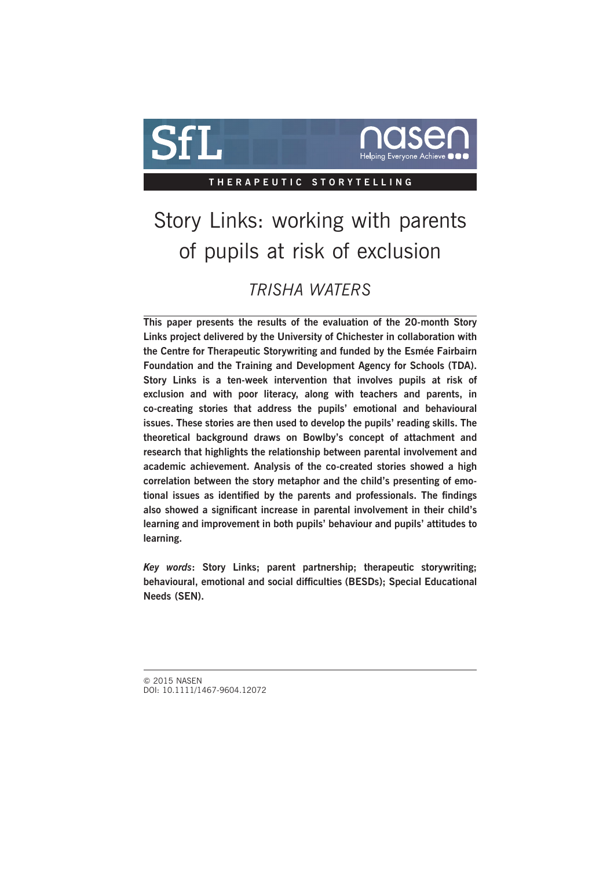



**THERAPEUTIC STORYTELLING**

# Story Links: working with parents of pupils at risk of exclusion

# *TRISHA WATERS*

**This paper presents the results of the evaluation of the 20-month Story Links project delivered by the University of Chichester in collaboration with the Centre for Therapeutic Storywriting and funded by the Esmée Fairbairn Foundation and the Training and Development Agency for Schools (TDA). Story Links is a ten-week intervention that involves pupils at risk of exclusion and with poor literacy, along with teachers and parents, in co-creating stories that address the pupils' emotional and behavioural issues. These stories are then used to develop the pupils' reading skills. The theoretical background draws on Bowlby's concept of attachment and research that highlights the relationship between parental involvement and academic achievement. Analysis of the co-created stories showed a high correlation between the story metaphor and the child's presenting of emotional issues as identified by the parents and professionals. The findings also showed a significant increase in parental involvement in their child's learning and improvement in both pupils' behaviour and pupils' attitudes to learning.**

*Key words***: Story Links; parent partnership; therapeutic storywriting; behavioural, emotional and social difficulties (BESDs); Special Educational Needs (SEN).**

<sup>© 2015</sup> NASEN DOI: 10.1111/1467-9604.12072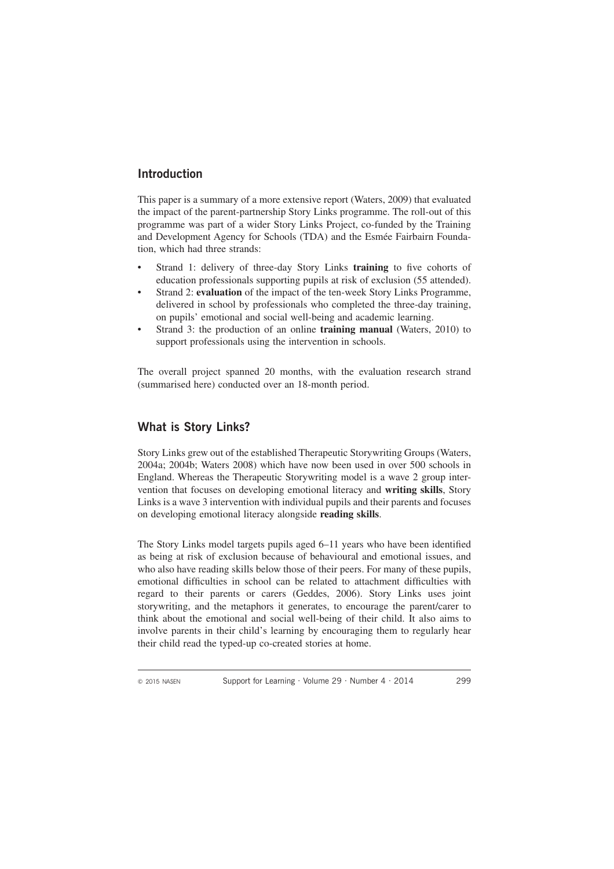# **Introduction**

This paper is a summary of a more extensive report (Waters, 2009) that evaluated the impact of the parent-partnership Story Links programme. The roll-out of this programme was part of a wider Story Links Project, co-funded by the Training and Development Agency for Schools (TDA) and the Esmée Fairbairn Foundation, which had three strands:

- Strand 1: delivery of three-day Story Links **training** to five cohorts of education professionals supporting pupils at risk of exclusion (55 attended).
- Strand 2: **evaluation** of the impact of the ten-week Story Links Programme, delivered in school by professionals who completed the three-day training, on pupils' emotional and social well-being and academic learning.
- Strand 3: the production of an online **training manual** (Waters, 2010) to support professionals using the intervention in schools.

The overall project spanned 20 months, with the evaluation research strand (summarised here) conducted over an 18-month period.

# **What is Story Links?**

Story Links grew out of the established Therapeutic Storywriting Groups (Waters, 2004a; 2004b; Waters 2008) which have now been used in over 500 schools in England. Whereas the Therapeutic Storywriting model is a wave 2 group intervention that focuses on developing emotional literacy and **writing skills**, Story Links is a wave 3 intervention with individual pupils and their parents and focuses on developing emotional literacy alongside **reading skills**.

The Story Links model targets pupils aged 6–11 years who have been identified as being at risk of exclusion because of behavioural and emotional issues, and who also have reading skills below those of their peers. For many of these pupils, emotional difficulties in school can be related to attachment difficulties with regard to their parents or carers (Geddes, 2006). Story Links uses joint storywriting, and the metaphors it generates, to encourage the parent/carer to think about the emotional and social well-being of their child. It also aims to involve parents in their child's learning by encouraging them to regularly hear their child read the typed-up co-created stories at home.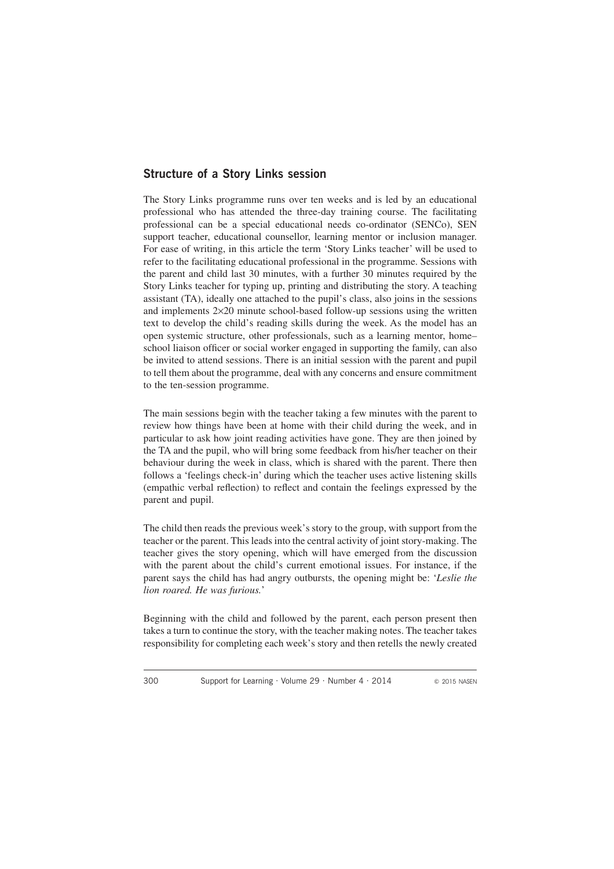# **Structure of a Story Links session**

The Story Links programme runs over ten weeks and is led by an educational professional who has attended the three-day training course. The facilitating professional can be a special educational needs co-ordinator (SENCo), SEN support teacher, educational counsellor, learning mentor or inclusion manager. For ease of writing, in this article the term 'Story Links teacher' will be used to refer to the facilitating educational professional in the programme. Sessions with the parent and child last 30 minutes, with a further 30 minutes required by the Story Links teacher for typing up, printing and distributing the story. A teaching assistant (TA), ideally one attached to the pupil's class, also joins in the sessions and implements 2×20 minute school-based follow-up sessions using the written text to develop the child's reading skills during the week. As the model has an open systemic structure, other professionals, such as a learning mentor, home– school liaison officer or social worker engaged in supporting the family, can also be invited to attend sessions. There is an initial session with the parent and pupil to tell them about the programme, deal with any concerns and ensure commitment to the ten-session programme.

The main sessions begin with the teacher taking a few minutes with the parent to review how things have been at home with their child during the week, and in particular to ask how joint reading activities have gone. They are then joined by the TA and the pupil, who will bring some feedback from his/her teacher on their behaviour during the week in class, which is shared with the parent. There then follows a 'feelings check-in' during which the teacher uses active listening skills (empathic verbal reflection) to reflect and contain the feelings expressed by the parent and pupil.

The child then reads the previous week's story to the group, with support from the teacher or the parent. This leads into the central activity of joint story-making. The teacher gives the story opening, which will have emerged from the discussion with the parent about the child's current emotional issues. For instance, if the parent says the child has had angry outbursts, the opening might be: '*Leslie the lion roared. He was furious.*'

Beginning with the child and followed by the parent, each person present then takes a turn to continue the story, with the teacher making notes. The teacher takes responsibility for completing each week's story and then retells the newly created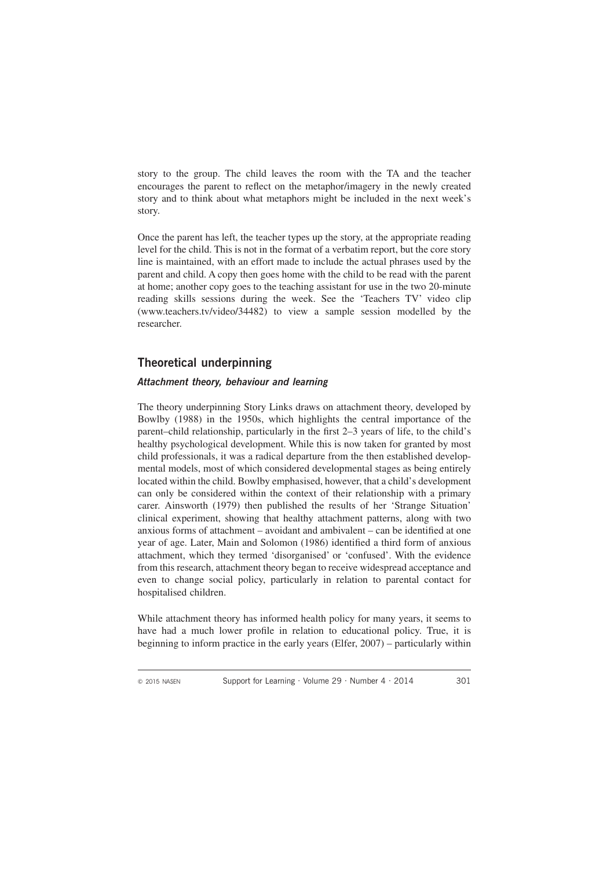story to the group. The child leaves the room with the TA and the teacher encourages the parent to reflect on the metaphor/imagery in the newly created story and to think about what metaphors might be included in the next week's story.

Once the parent has left, the teacher types up the story, at the appropriate reading level for the child. This is not in the format of a verbatim report, but the core story line is maintained, with an effort made to include the actual phrases used by the parent and child. A copy then goes home with the child to be read with the parent at home; another copy goes to the teaching assistant for use in the two 20-minute reading skills sessions during the week. See the 'Teachers TV' video clip [\(www.teachers.tv/video/34482\)](http://www.teachers.tv/video/34482) to view a sample session modelled by the researcher.

# **Theoretical underpinning**

#### *Attachment theory, behaviour and learning*

The theory underpinning Story Links draws on attachment theory, developed by Bowlby (1988) in the 1950s, which highlights the central importance of the parent–child relationship, particularly in the first 2–3 years of life, to the child's healthy psychological development. While this is now taken for granted by most child professionals, it was a radical departure from the then established developmental models, most of which considered developmental stages as being entirely located within the child. Bowlby emphasised, however, that a child's development can only be considered within the context of their relationship with a primary carer. Ainsworth (1979) then published the results of her 'Strange Situation' clinical experiment, showing that healthy attachment patterns, along with two anxious forms of attachment – avoidant and ambivalent – can be identified at one year of age. Later, Main and Solomon (1986) identified a third form of anxious attachment, which they termed 'disorganised' or 'confused'. With the evidence from this research, attachment theory began to receive widespread acceptance and even to change social policy, particularly in relation to parental contact for hospitalised children.

While attachment theory has informed health policy for many years, it seems to have had a much lower profile in relation to educational policy. True, it is beginning to inform practice in the early years (Elfer, 2007) – particularly within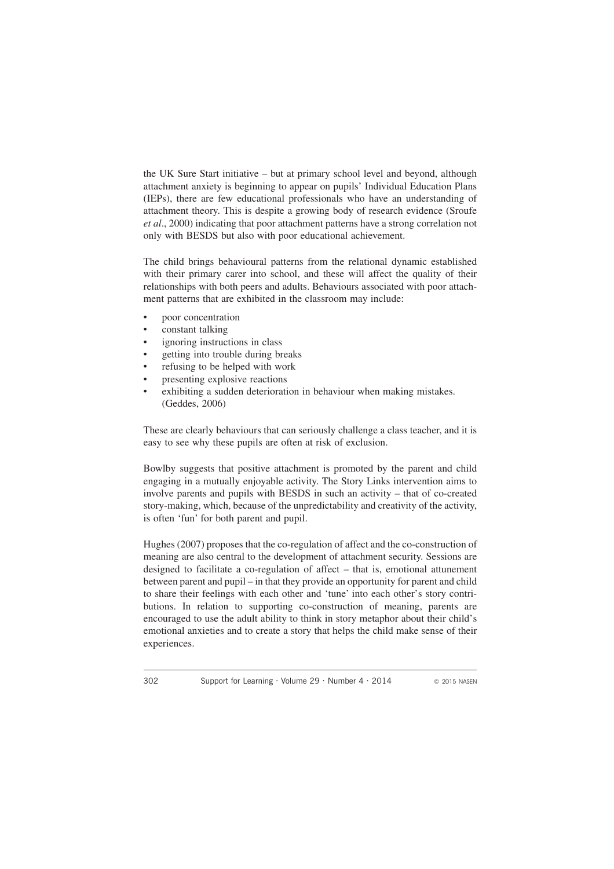the UK Sure Start initiative – but at primary school level and beyond, although attachment anxiety is beginning to appear on pupils' Individual Education Plans (IEPs), there are few educational professionals who have an understanding of attachment theory. This is despite a growing body of research evidence (Sroufe *et al*., 2000) indicating that poor attachment patterns have a strong correlation not only with BESDS but also with poor educational achievement.

The child brings behavioural patterns from the relational dynamic established with their primary carer into school, and these will affect the quality of their relationships with both peers and adults. Behaviours associated with poor attachment patterns that are exhibited in the classroom may include:

- poor concentration
- constant talking
- ignoring instructions in class
- getting into trouble during breaks
- refusing to be helped with work
- presenting explosive reactions
- exhibiting a sudden deterioration in behaviour when making mistakes. (Geddes, 2006)

These are clearly behaviours that can seriously challenge a class teacher, and it is easy to see why these pupils are often at risk of exclusion.

Bowlby suggests that positive attachment is promoted by the parent and child engaging in a mutually enjoyable activity. The Story Links intervention aims to involve parents and pupils with BESDS in such an activity – that of co-created story-making, which, because of the unpredictability and creativity of the activity, is often 'fun' for both parent and pupil.

Hughes (2007) proposes that the co-regulation of affect and the co-construction of meaning are also central to the development of attachment security. Sessions are designed to facilitate a co-regulation of affect – that is, emotional attunement between parent and pupil – in that they provide an opportunity for parent and child to share their feelings with each other and 'tune' into each other's story contributions. In relation to supporting co-construction of meaning, parents are encouraged to use the adult ability to think in story metaphor about their child's emotional anxieties and to create a story that helps the child make sense of their experiences.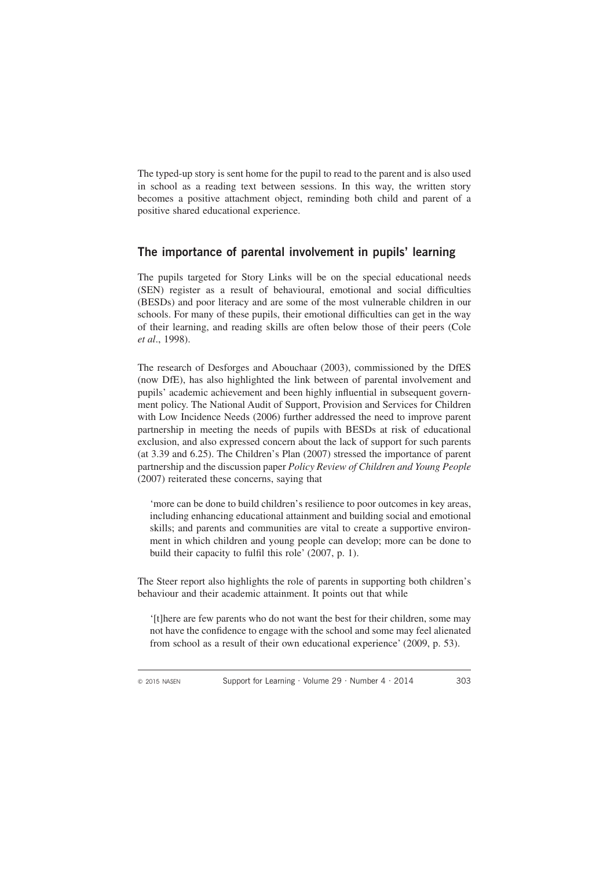The typed-up story is sent home for the pupil to read to the parent and is also used in school as a reading text between sessions. In this way, the written story becomes a positive attachment object, reminding both child and parent of a positive shared educational experience.

# **The importance of parental involvement in pupils' learning**

The pupils targeted for Story Links will be on the special educational needs (SEN) register as a result of behavioural, emotional and social difficulties (BESDs) and poor literacy and are some of the most vulnerable children in our schools. For many of these pupils, their emotional difficulties can get in the way of their learning, and reading skills are often below those of their peers (Cole *et al*., 1998).

The research of Desforges and Abouchaar (2003), commissioned by the DfES (now DfE), has also highlighted the link between of parental involvement and pupils' academic achievement and been highly influential in subsequent government policy. The National Audit of Support, Provision and Services for Children with Low Incidence Needs (2006) further addressed the need to improve parent partnership in meeting the needs of pupils with BESDs at risk of educational exclusion, and also expressed concern about the lack of support for such parents (at 3.39 and 6.25). The Children's Plan (2007) stressed the importance of parent partnership and the discussion paper *Policy Review of Children and Young People* (2007) reiterated these concerns, saying that

'more can be done to build children's resilience to poor outcomes in key areas, including enhancing educational attainment and building social and emotional skills; and parents and communities are vital to create a supportive environment in which children and young people can develop; more can be done to build their capacity to fulfil this role' (2007, p. 1).

The Steer report also highlights the role of parents in supporting both children's behaviour and their academic attainment. It points out that while

'[t]here are few parents who do not want the best for their children, some may not have the confidence to engage with the school and some may feel alienated from school as a result of their own educational experience' (2009, p. 53).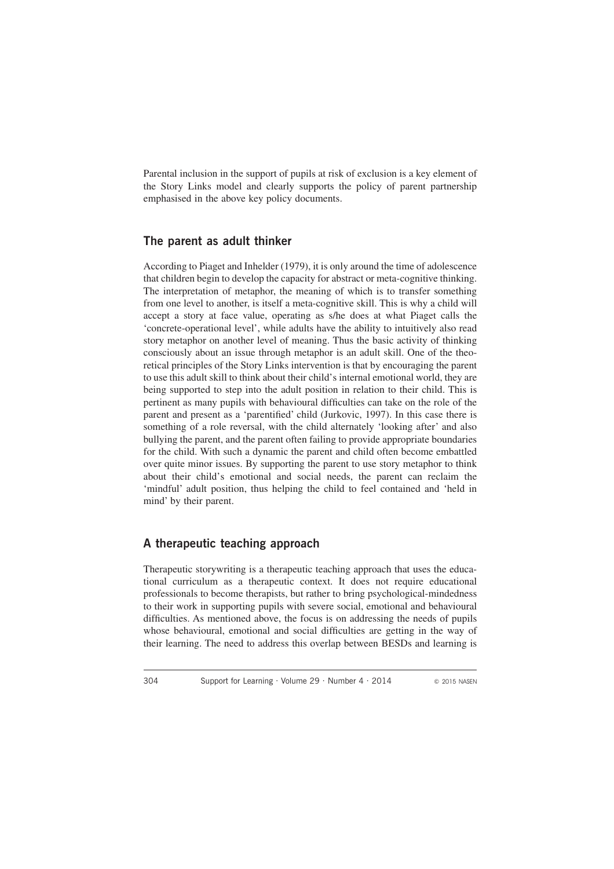Parental inclusion in the support of pupils at risk of exclusion is a key element of the Story Links model and clearly supports the policy of parent partnership emphasised in the above key policy documents.

### **The parent as adult thinker**

According to Piaget and Inhelder (1979), it is only around the time of adolescence that children begin to develop the capacity for abstract or meta-cognitive thinking. The interpretation of metaphor, the meaning of which is to transfer something from one level to another, is itself a meta-cognitive skill. This is why a child will accept a story at face value, operating as s/he does at what Piaget calls the 'concrete-operational level', while adults have the ability to intuitively also read story metaphor on another level of meaning. Thus the basic activity of thinking consciously about an issue through metaphor is an adult skill. One of the theoretical principles of the Story Links intervention is that by encouraging the parent to use this adult skill to think about their child's internal emotional world, they are being supported to step into the adult position in relation to their child. This is pertinent as many pupils with behavioural difficulties can take on the role of the parent and present as a 'parentified' child (Jurkovic, 1997). In this case there is something of a role reversal, with the child alternately 'looking after' and also bullying the parent, and the parent often failing to provide appropriate boundaries for the child. With such a dynamic the parent and child often become embattled over quite minor issues. By supporting the parent to use story metaphor to think about their child's emotional and social needs, the parent can reclaim the 'mindful' adult position, thus helping the child to feel contained and 'held in mind' by their parent.

#### **A therapeutic teaching approach**

Therapeutic storywriting is a therapeutic teaching approach that uses the educational curriculum as a therapeutic context. It does not require educational professionals to become therapists, but rather to bring psychological-mindedness to their work in supporting pupils with severe social, emotional and behavioural difficulties. As mentioned above, the focus is on addressing the needs of pupils whose behavioural, emotional and social difficulties are getting in the way of their learning. The need to address this overlap between BESDs and learning is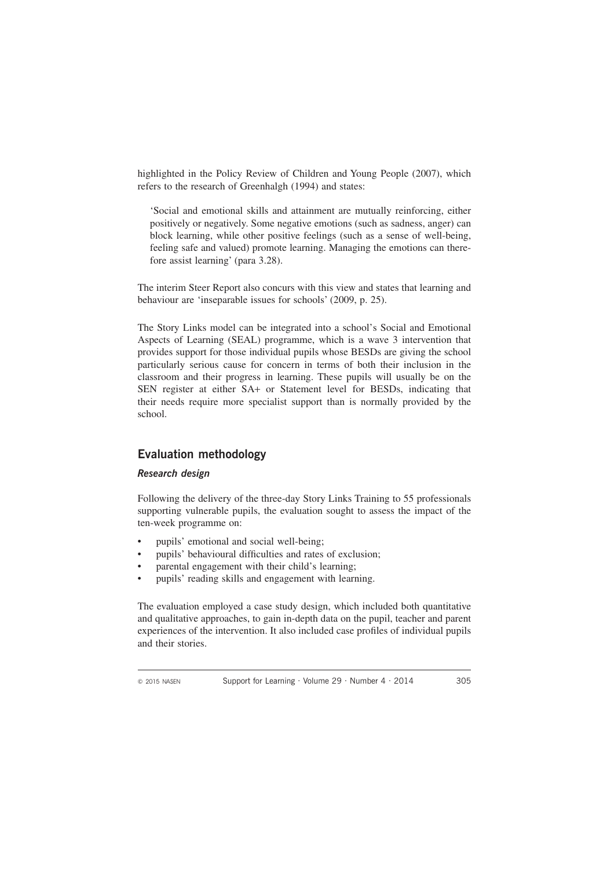highlighted in the Policy Review of Children and Young People (2007), which refers to the research of Greenhalgh (1994) and states:

'Social and emotional skills and attainment are mutually reinforcing, either positively or negatively. Some negative emotions (such as sadness, anger) can block learning, while other positive feelings (such as a sense of well-being, feeling safe and valued) promote learning. Managing the emotions can therefore assist learning' (para 3.28).

The interim Steer Report also concurs with this view and states that learning and behaviour are 'inseparable issues for schools' (2009, p. 25).

The Story Links model can be integrated into a school's Social and Emotional Aspects of Learning (SEAL) programme, which is a wave 3 intervention that provides support for those individual pupils whose BESDs are giving the school particularly serious cause for concern in terms of both their inclusion in the classroom and their progress in learning. These pupils will usually be on the SEN register at either SA+ or Statement level for BESDs, indicating that their needs require more specialist support than is normally provided by the school.

# **Evaluation methodology**

#### *Research design*

Following the delivery of the three-day Story Links Training to 55 professionals supporting vulnerable pupils, the evaluation sought to assess the impact of the ten-week programme on:

- pupils' emotional and social well-being;
- pupils' behavioural difficulties and rates of exclusion;
- parental engagement with their child's learning;
- pupils' reading skills and engagement with learning.

The evaluation employed a case study design, which included both quantitative and qualitative approaches, to gain in-depth data on the pupil, teacher and parent experiences of the intervention. It also included case profiles of individual pupils and their stories.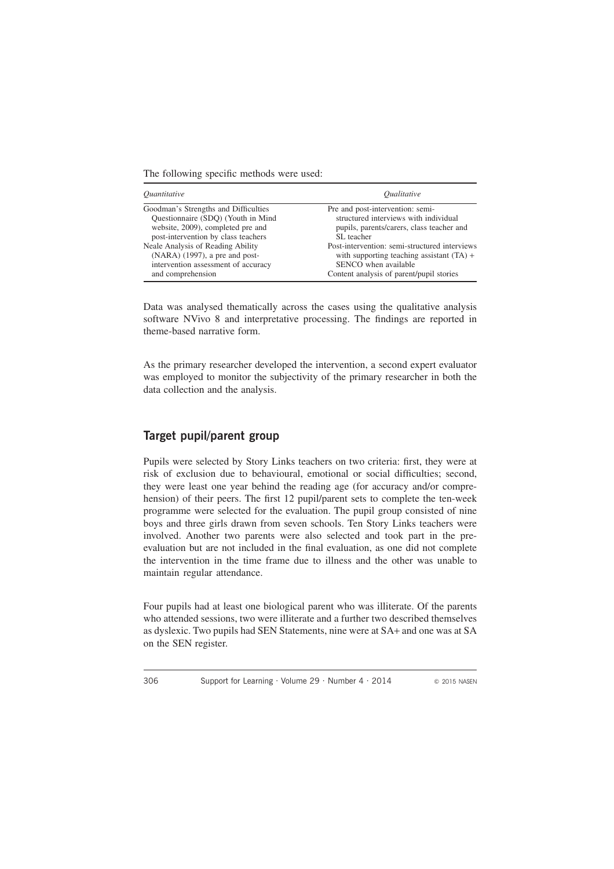The following specific methods were used:

| <i><u>Ouantitative</u></i>           | <i><u>Oualitative</u></i>                     |
|--------------------------------------|-----------------------------------------------|
| Goodman's Strengths and Difficulties | Pre and post-intervention: semi-              |
| Questionnaire (SDQ) (Youth in Mind)  | structured interviews with individual         |
| website, 2009), completed pre and    | pupils, parents/carers, class teacher and     |
| post-intervention by class teachers  | SL teacher                                    |
| Neale Analysis of Reading Ability    | Post-intervention: semi-structured interviews |
| $(NARA)$ (1997), a pre and post-     | with supporting teaching assistant $(TA)$ +   |
| intervention assessment of accuracy  | SENCO when available                          |
| and comprehension                    | Content analysis of parent/pupil stories      |

Data was analysed thematically across the cases using the qualitative analysis software NVivo 8 and interpretative processing. The findings are reported in theme-based narrative form.

As the primary researcher developed the intervention, a second expert evaluator was employed to monitor the subjectivity of the primary researcher in both the data collection and the analysis.

# **Target pupil/parent group**

Pupils were selected by Story Links teachers on two criteria: first, they were at risk of exclusion due to behavioural, emotional or social difficulties; second, they were least one year behind the reading age (for accuracy and/or comprehension) of their peers. The first 12 pupil/parent sets to complete the ten-week programme were selected for the evaluation. The pupil group consisted of nine boys and three girls drawn from seven schools. Ten Story Links teachers were involved. Another two parents were also selected and took part in the preevaluation but are not included in the final evaluation, as one did not complete the intervention in the time frame due to illness and the other was unable to maintain regular attendance.

Four pupils had at least one biological parent who was illiterate. Of the parents who attended sessions, two were illiterate and a further two described themselves as dyslexic. Two pupils had SEN Statements, nine were at SA+ and one was at SA on the SEN register.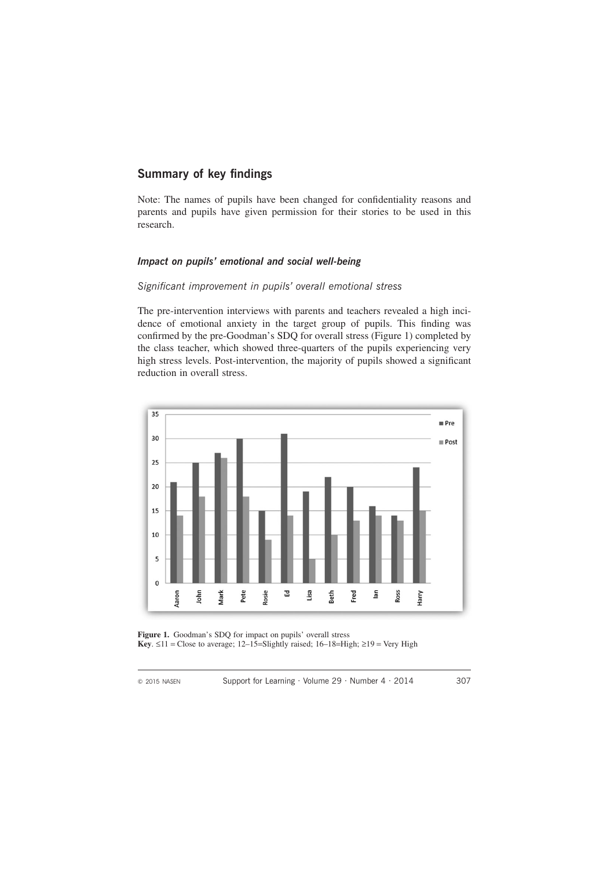# **Summary of key findings**

Note: The names of pupils have been changed for confidentiality reasons and parents and pupils have given permission for their stories to be used in this research.

#### *Impact on pupils' emotional and social well-being*

#### *Significant improvement in pupils' overall emotional stress*

The pre-intervention interviews with parents and teachers revealed a high incidence of emotional anxiety in the target group of pupils. This finding was confirmed by the pre-Goodman's SDQ for overall stress (Figure 1) completed by the class teacher, which showed three-quarters of the pupils experiencing very high stress levels. Post-intervention, the majority of pupils showed a significant reduction in overall stress.



**Figure 1.** Goodman's SDQ for impact on pupils' overall stress **Key.**  $\leq 11$  = Close to average;  $12-15$ =Slightly raised;  $16-18$ =High;  $\geq 19$  = Very High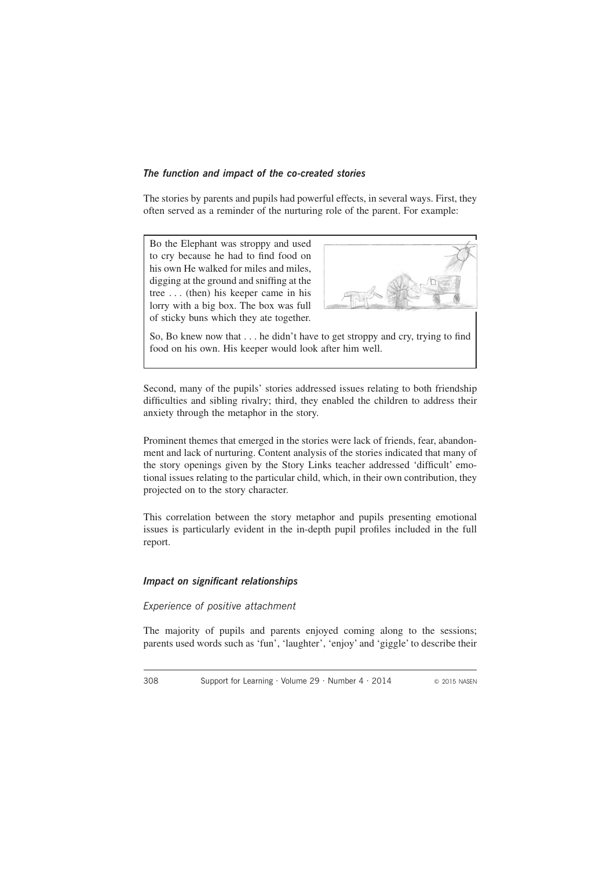#### *The function and impact of the co-created stories*

The stories by parents and pupils had powerful effects, in several ways. First, they often served as a reminder of the nurturing role of the parent. For example:

Bo the Elephant was stroppy and used to cry because he had to find food on his own He walked for miles and miles, digging at the ground and sniffing at the tree . . . (then) his keeper came in his lorry with a big box. The box was full of sticky buns which they ate together.



So, Bo knew now that . . . he didn't have to get stroppy and cry, trying to find food on his own. His keeper would look after him well.

Second, many of the pupils' stories addressed issues relating to both friendship difficulties and sibling rivalry; third, they enabled the children to address their anxiety through the metaphor in the story.

Prominent themes that emerged in the stories were lack of friends, fear, abandonment and lack of nurturing. Content analysis of the stories indicated that many of the story openings given by the Story Links teacher addressed 'difficult' emotional issues relating to the particular child, which, in their own contribution, they projected on to the story character.

This correlation between the story metaphor and pupils presenting emotional issues is particularly evident in the in-depth pupil profiles included in the full report.

#### *Impact on significant relationships*

#### *Experience of positive attachment*

The majority of pupils and parents enjoyed coming along to the sessions; parents used words such as 'fun', 'laughter', 'enjoy' and 'giggle' to describe their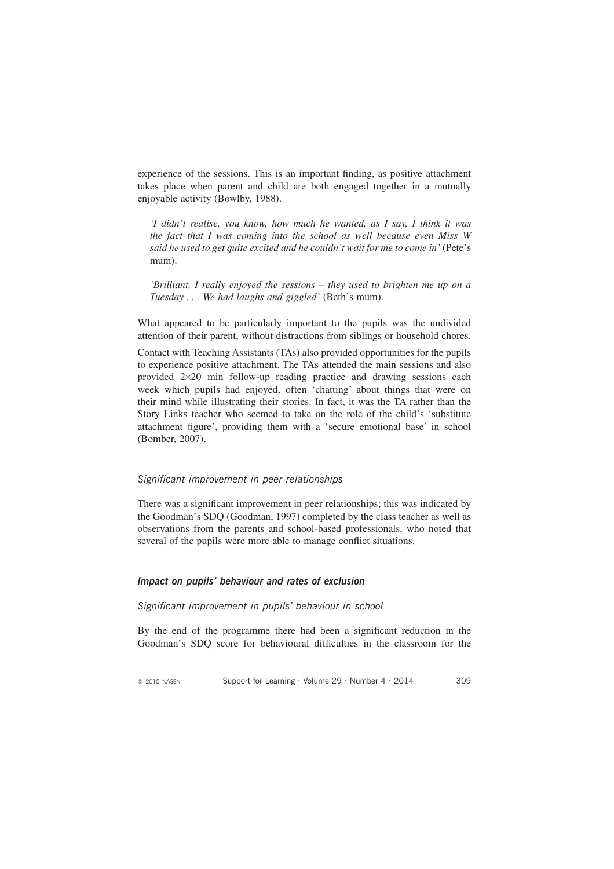experience of the sessions. This is an important finding, as positive attachment takes place when parent and child are both engaged together in a mutually enjoyable activity (Bowlby, 1988).

*'I didn't realise, you know, how much he wanted, as I say, I think it was the fact that I was coming into the school as well because even Miss W said he used to get quite excited and he couldn't wait for me to come in'* (Pete's mum).

*'Brilliant, I really enjoyed the sessions – they used to brighten me up on a Tuesday . . . We had laughs and giggled'* (Beth's mum).

What appeared to be particularly important to the pupils was the undivided attention of their parent, without distractions from siblings or household chores.

Contact with Teaching Assistants (TAs) also provided opportunities for the pupils to experience positive attachment. The TAs attended the main sessions and also provided 2×20 min follow-up reading practice and drawing sessions each week which pupils had enjoyed, often 'chatting' about things that were on their mind while illustrating their stories. In fact, it was the TA rather than the Story Links teacher who seemed to take on the role of the child's 'substitute attachment figure', providing them with a 'secure emotional base' in school (Bomber, 2007).

#### *Significant improvement in peer relationships*

There was a significant improvement in peer relationships; this was indicated by the Goodman's SDQ (Goodman, 1997) completed by the class teacher as well as observations from the parents and school-based professionals, who noted that several of the pupils were more able to manage conflict situations.

#### *Impact on pupils' behaviour and rates of exclusion*

*Significant improvement in pupils' behaviour in school*

By the end of the programme there had been a significant reduction in the Goodman's SDQ score for behavioural difficulties in the classroom for the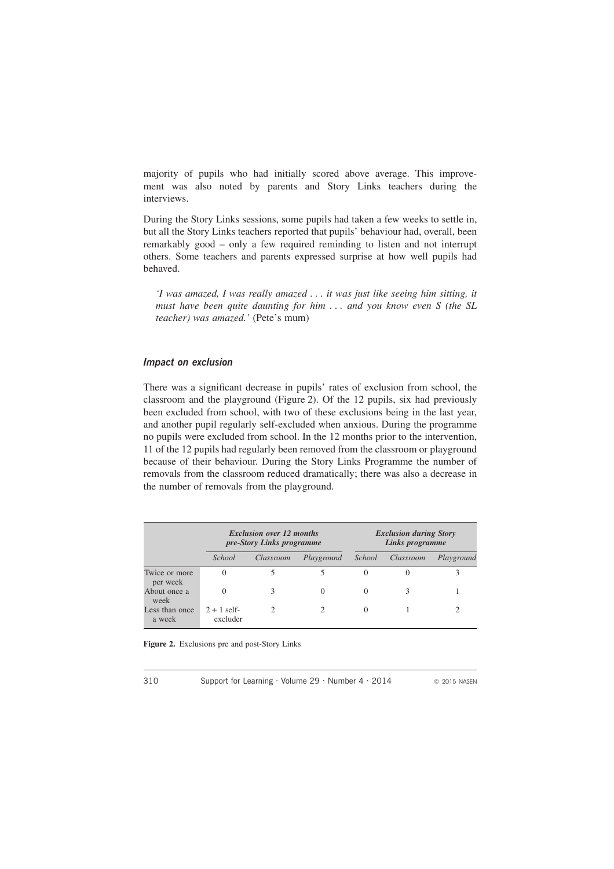majority of pupils who had initially scored above average. This improvement was also noted by parents and Story Links teachers during the interviews.

During the Story Links sessions, some pupils had taken a few weeks to settle in, but all the Story Links teachers reported that pupils' behaviour had, overall, been remarkably good – only a few required reminding to listen and not interrupt others. Some teachers and parents expressed surprise at how well pupils had behaved.

*'I was amazed, I was really amazed . . . it was just like seeing him sitting, it must have been quite daunting for him . . . and you know even S (the SL teacher) was amazed.'* (Pete's mum)

#### *Impact on exclusion*

There was a significant decrease in pupils' rates of exclusion from school, the classroom and the playground (Figure 2). Of the 12 pupils, six had previously been excluded from school, with two of these exclusions being in the last year, and another pupil regularly self-excluded when anxious. During the programme no pupils were excluded from school. In the 12 months prior to the intervention, 11 of the 12 pupils had regularly been removed from the classroom or playground because of their behaviour. During the Story Links Programme the number of removals from the classroom reduced dramatically; there was also a decrease in the number of removals from the playground.

|                           | <b>Exclusion over 12 months</b><br>pre-Story Links programme |           |            | <b>Exclusion during Story</b><br>Links programme |           |            |
|---------------------------|--------------------------------------------------------------|-----------|------------|--------------------------------------------------|-----------|------------|
|                           | School                                                       | Classroom | Playground | School                                           | Classroom | Playground |
| Twice or more<br>per week | $\Omega$                                                     |           |            | $\theta$                                         |           |            |
| About once a<br>week      | 0                                                            |           | $\Omega$   | $\theta$                                         |           |            |
| Less than once<br>a week  | $2 + 1$ self-<br>excluder                                    |           |            | $\theta$                                         |           |            |

**Figure 2.** Exclusions pre and post-Story Links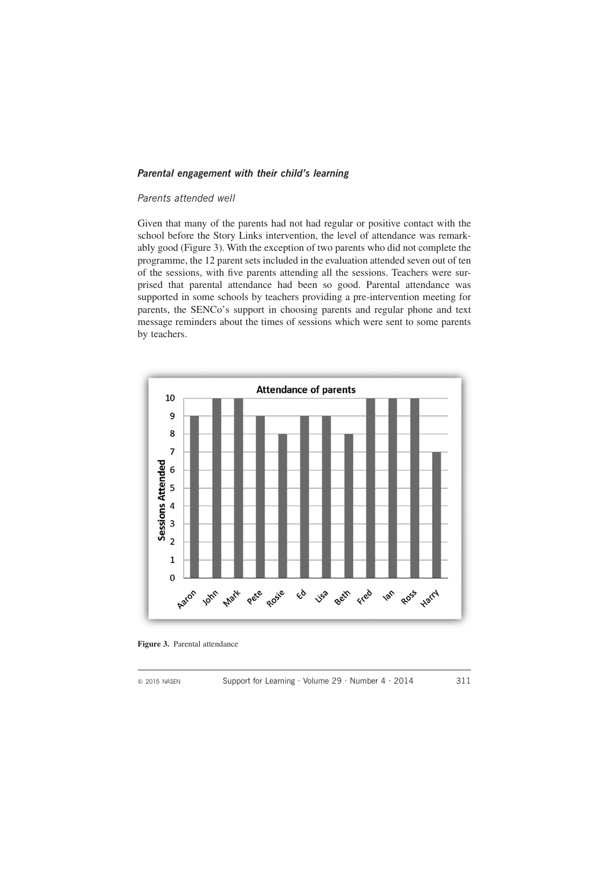#### *Parental engagement with their child's learning*

#### *Parents attended well*

Given that many of the parents had not had regular or positive contact with the school before the Story Links intervention, the level of attendance was remarkably good (Figure 3). With the exception of two parents who did not complete the programme, the 12 parent sets included in the evaluation attended seven out of ten of the sessions, with five parents attending all the sessions. Teachers were surprised that parental attendance had been so good. Parental attendance was supported in some schools by teachers providing a pre-intervention meeting for parents, the SENCo's support in choosing parents and regular phone and text message reminders about the times of sessions which were sent to some parents by teachers.



**Figure 3.** Parental attendance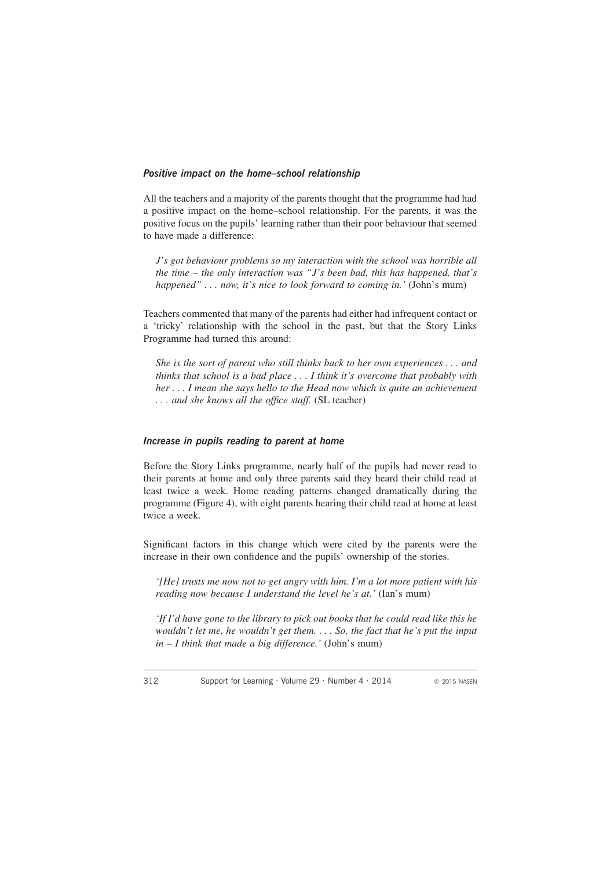#### *Positive impact on the home–school relationship*

All the teachers and a majority of the parents thought that the programme had had a positive impact on the home–school relationship. For the parents, it was the positive focus on the pupils' learning rather than their poor behaviour that seemed to have made a difference:

*J's got behaviour problems so my interaction with the school was horrible all the time – the only interaction was "J's been bad, this has happened, that's happened" . . . now, it's nice to look forward to coming in.'* (John's mum)

Teachers commented that many of the parents had either had infrequent contact or a 'tricky' relationship with the school in the past, but that the Story Links Programme had turned this around:

*She is the sort of parent who still thinks back to her own experiences . . . and thinks that school is a bad place . . . I think it's overcome that probably with her . . . I mean she says hello to the Head now which is quite an achievement . . . and she knows all the office staff.* (SL teacher)

#### *Increase in pupils reading to parent at home*

Before the Story Links programme, nearly half of the pupils had never read to their parents at home and only three parents said they heard their child read at least twice a week. Home reading patterns changed dramatically during the programme (Figure 4), with eight parents hearing their child read at home at least twice a week.

Significant factors in this change which were cited by the parents were the increase in their own confidence and the pupils' ownership of the stories.

*'[He] trusts me now not to get angry with him. I'm a lot more patient with his reading now because I understand the level he's at.'* (Ian's mum)

*'If I'd have gone to the library to pick out books that he could read like this he wouldn't let me, he wouldn't get them. . . . So, the fact that he's put the input in – I think that made a big difference.'* (John's mum)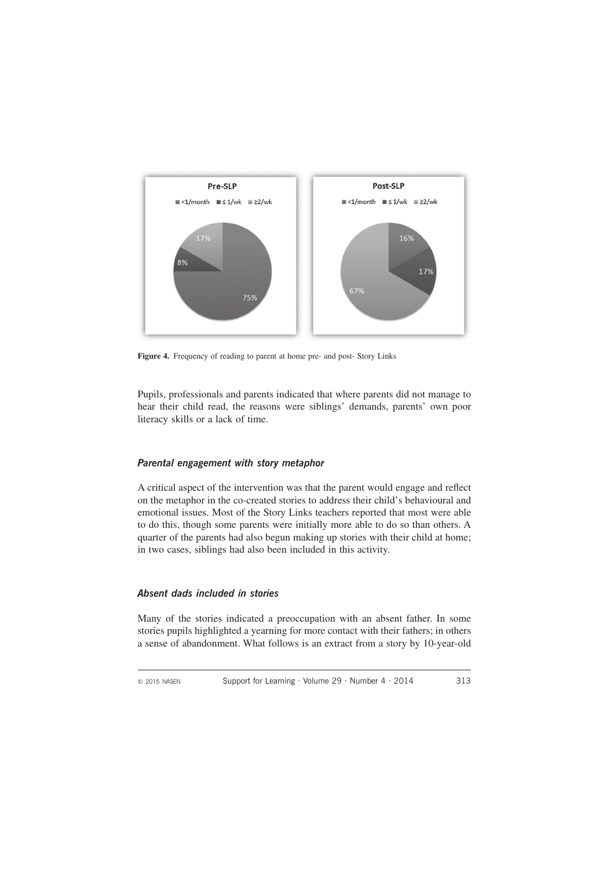

**Figure 4.** Frequency of reading to parent at home pre- and post- Story Links

Pupils, professionals and parents indicated that where parents did not manage to hear their child read, the reasons were siblings' demands, parents' own poor literacy skills or a lack of time.

#### *Parental engagement with story metaphor*

A critical aspect of the intervention was that the parent would engage and reflect on the metaphor in the co-created stories to address their child's behavioural and emotional issues. Most of the Story Links teachers reported that most were able to do this, though some parents were initially more able to do so than others. A quarter of the parents had also begun making up stories with their child at home; in two cases, siblings had also been included in this activity.

#### *Absent dads included in stories*

Many of the stories indicated a preoccupation with an absent father. In some stories pupils highlighted a yearning for more contact with their fathers; in others a sense of abandonment. What follows is an extract from a story by 10-year-old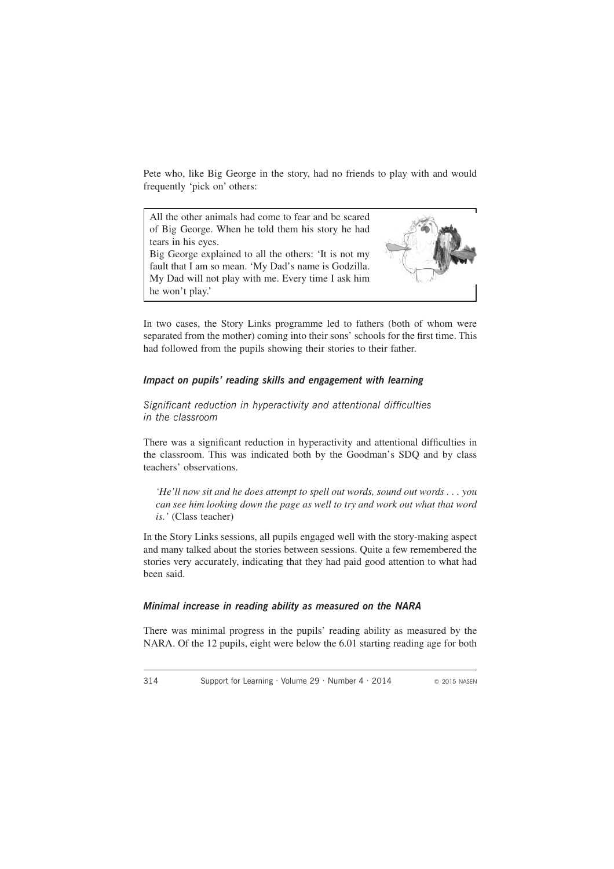Pete who, like Big George in the story, had no friends to play with and would frequently 'pick on' others:

All the other animals had come to fear and be scared of Big George. When he told them his story he had tears in his eyes. Big George explained to all the others: 'It is not my fault that I am so mean. 'My Dad's name is Godzilla. My Dad will not play with me. Every time I ask him he won't play.'



In two cases, the Story Links programme led to fathers (both of whom were separated from the mother) coming into their sons' schools for the first time. This had followed from the pupils showing their stories to their father.

#### *Impact on pupils' reading skills and engagement with learning*

*Significant reduction in hyperactivity and attentional difficulties in the classroom*

There was a significant reduction in hyperactivity and attentional difficulties in the classroom. This was indicated both by the Goodman's SDQ and by class teachers' observations.

*'He'll now sit and he does attempt to spell out words, sound out words . . . you can see him looking down the page as well to try and work out what that word is.'* (Class teacher)

In the Story Links sessions, all pupils engaged well with the story-making aspect and many talked about the stories between sessions. Quite a few remembered the stories very accurately, indicating that they had paid good attention to what had been said.

#### *Minimal increase in reading ability as measured on the NARA*

There was minimal progress in the pupils' reading ability as measured by the NARA. Of the 12 pupils, eight were below the 6.01 starting reading age for both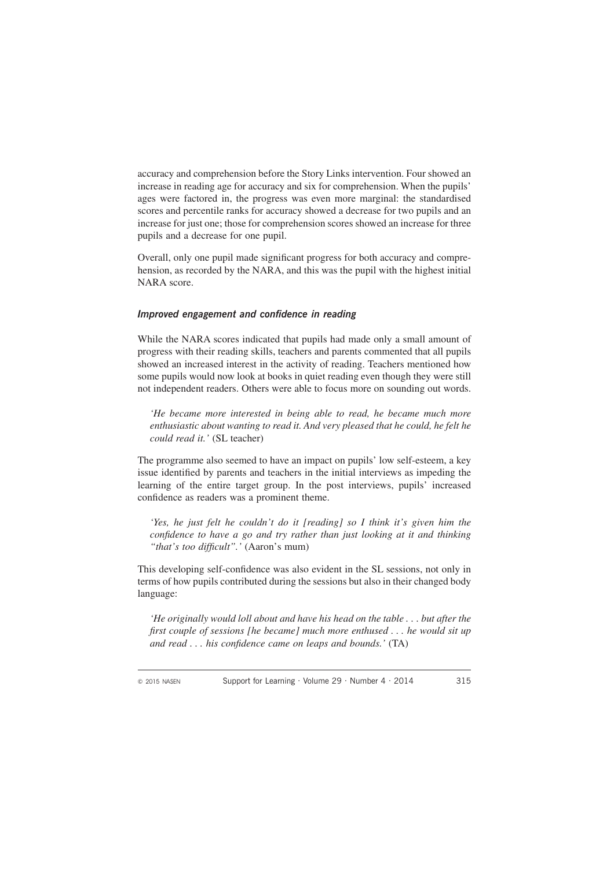accuracy and comprehension before the Story Links intervention. Four showed an increase in reading age for accuracy and six for comprehension. When the pupils' ages were factored in, the progress was even more marginal: the standardised scores and percentile ranks for accuracy showed a decrease for two pupils and an increase for just one; those for comprehension scores showed an increase for three pupils and a decrease for one pupil.

Overall, only one pupil made significant progress for both accuracy and comprehension, as recorded by the NARA, and this was the pupil with the highest initial NARA score.

#### *Improved engagement and confidence in reading*

While the NARA scores indicated that pupils had made only a small amount of progress with their reading skills, teachers and parents commented that all pupils showed an increased interest in the activity of reading. Teachers mentioned how some pupils would now look at books in quiet reading even though they were still not independent readers. Others were able to focus more on sounding out words.

*'He became more interested in being able to read, he became much more enthusiastic about wanting to read it. And very pleased that he could, he felt he could read it.'* (SL teacher)

The programme also seemed to have an impact on pupils' low self-esteem, a key issue identified by parents and teachers in the initial interviews as impeding the learning of the entire target group. In the post interviews, pupils' increased confidence as readers was a prominent theme.

*'Yes, he just felt he couldn't do it [reading] so I think it's given him the confidence to have a go and try rather than just looking at it and thinking "that's too difficult".'* (Aaron's mum)

This developing self-confidence was also evident in the SL sessions, not only in terms of how pupils contributed during the sessions but also in their changed body language:

*'He originally would loll about and have his head on the table . . . but after the first couple of sessions [he became] much more enthused . . . he would sit up and read . . . his confidence came on leaps and bounds.'* (TA)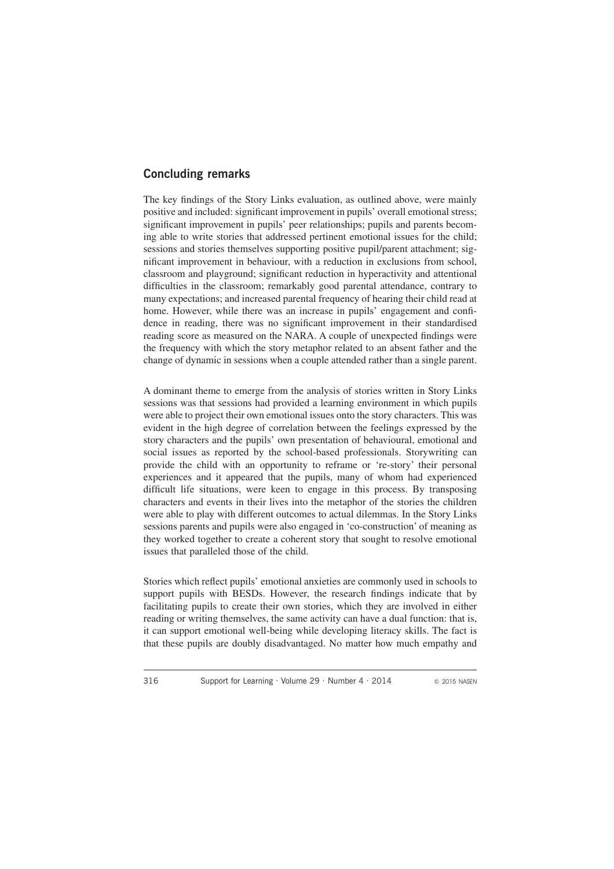# **Concluding remarks**

The key findings of the Story Links evaluation, as outlined above, were mainly positive and included: significant improvement in pupils' overall emotional stress; significant improvement in pupils' peer relationships; pupils and parents becoming able to write stories that addressed pertinent emotional issues for the child; sessions and stories themselves supporting positive pupil/parent attachment; significant improvement in behaviour, with a reduction in exclusions from school, classroom and playground; significant reduction in hyperactivity and attentional difficulties in the classroom; remarkably good parental attendance, contrary to many expectations; and increased parental frequency of hearing their child read at home. However, while there was an increase in pupils' engagement and confidence in reading, there was no significant improvement in their standardised reading score as measured on the NARA. A couple of unexpected findings were the frequency with which the story metaphor related to an absent father and the change of dynamic in sessions when a couple attended rather than a single parent.

A dominant theme to emerge from the analysis of stories written in Story Links sessions was that sessions had provided a learning environment in which pupils were able to project their own emotional issues onto the story characters. This was evident in the high degree of correlation between the feelings expressed by the story characters and the pupils' own presentation of behavioural, emotional and social issues as reported by the school-based professionals. Storywriting can provide the child with an opportunity to reframe or 're-story' their personal experiences and it appeared that the pupils, many of whom had experienced difficult life situations, were keen to engage in this process. By transposing characters and events in their lives into the metaphor of the stories the children were able to play with different outcomes to actual dilemmas. In the Story Links sessions parents and pupils were also engaged in 'co-construction' of meaning as they worked together to create a coherent story that sought to resolve emotional issues that paralleled those of the child.

Stories which reflect pupils' emotional anxieties are commonly used in schools to support pupils with BESDs. However, the research findings indicate that by facilitating pupils to create their own stories, which they are involved in either reading or writing themselves, the same activity can have a dual function: that is, it can support emotional well-being while developing literacy skills. The fact is that these pupils are doubly disadvantaged. No matter how much empathy and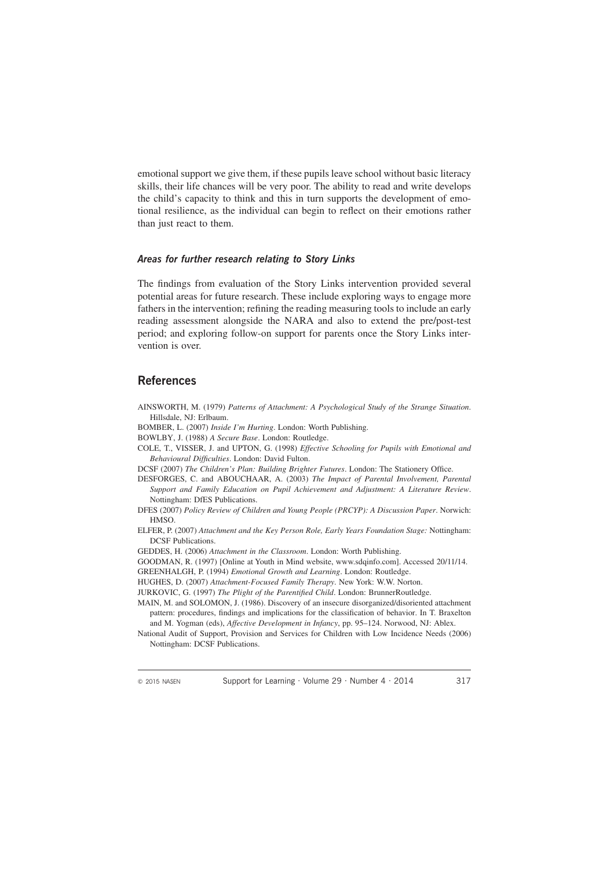emotional support we give them, if these pupils leave school without basic literacy skills, their life chances will be very poor. The ability to read and write develops the child's capacity to think and this in turn supports the development of emotional resilience, as the individual can begin to reflect on their emotions rather than just react to them.

#### *Areas for further research relating to Story Links*

The findings from evaluation of the Story Links intervention provided several potential areas for future research. These include exploring ways to engage more fathers in the intervention; refining the reading measuring tools to include an early reading assessment alongside the NARA and also to extend the pre/post-test period; and exploring follow-on support for parents once the Story Links intervention is over.

### **References**

- AINSWORTH, M. (1979) *Patterns of Attachment: A Psychological Study of the Strange Situation*. Hillsdale, NJ: Erlbaum.
- BOMBER, L. (2007) *Inside I'm Hurting*. London: Worth Publishing.
- BOWLBY, J. (1988) *A Secure Base*. London: Routledge.
- COLE, T., VISSER, J. and UPTON, G. (1998) *Effective Schooling for Pupils with Emotional and Behavioural Difficulties*. London: David Fulton.
- DCSF (2007) *The Children's Plan: Building Brighter Futures*. London: The Stationery Office.
- DESFORGES, C. and ABOUCHAAR, A. (2003) *The Impact of Parental Involvement, Parental Support and Family Education on Pupil Achievement and Adjustment: A Literature Review*. Nottingham: DfES Publications.
- DFES (2007) *Policy Review of Children and Young People (PRCYP): A Discussion Paper*. Norwich: HMSO.
- ELFER, P. (2007) *Attachment and the Key Person Role, Early Years Foundation Stage:* Nottingham: DCSF Publications.

GEDDES, H. (2006) *Attachment in the Classroom*. London: Worth Publishing.

GOODMAN, R. (1997) [Online at Youth in Mind website, [www.sdqinfo.com\]](http://www.sdqinfo.com). Accessed 20/11/14.

GREENHALGH, P. (1994) *Emotional Growth and Learning*. London: Routledge.

HUGHES, D. (2007) *Attachment-Focused Family Therapy*. New York: W.W. Norton.

JURKOVIC, G. (1997) *The Plight of the Parentified Child*. London: BrunnerRoutledge.

MAIN, M. and SOLOMON, J. (1986). Discovery of an insecure disorganized/disoriented attachment pattern: procedures, findings and implications for the classification of behavior. In T. Braxelton and M. Yogman (eds), *Affective Development in Infancy*, pp. 95–124. Norwood, NJ: Ablex.

National Audit of Support, Provision and Services for Children with Low Incidence Needs (2006) Nottingham: DCSF Publications.